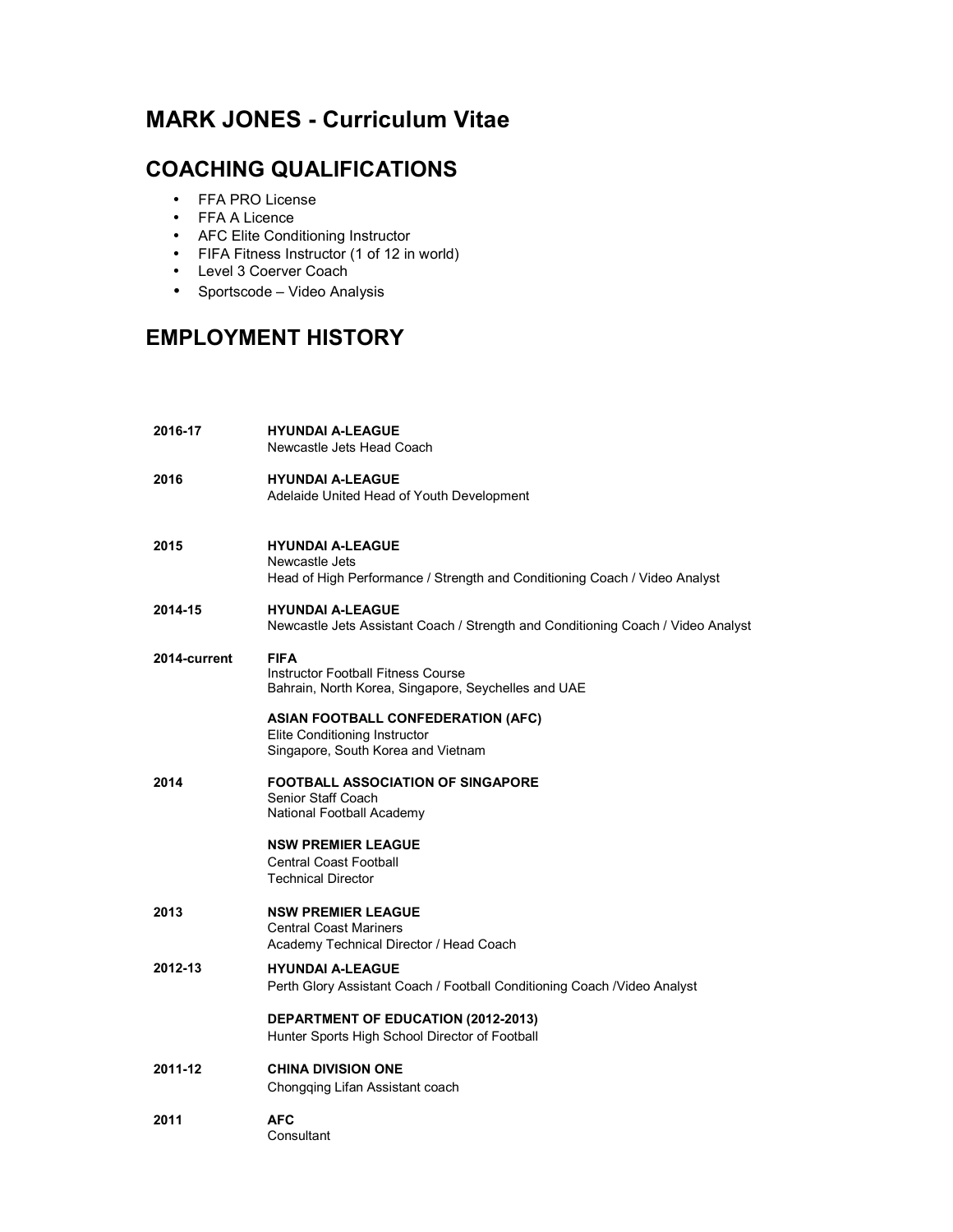# **MARK JONES - Curriculum Vitae**

### **COACHING QUALIFICATIONS**

- FFA PRO License
- FFA A Licence
- AFC Elite Conditioning Instructor
- FIFA Fitness Instructor (1 of 12 in world)
- Level 3 Coerver Coach
- Sportscode Video Analysis

## **EMPLOYMENT HISTORY**

**2016-17 HYUNDAI A-LEAGUE**  Newcastle Jets Head Coach **2016 HYUNDAI A-LEAGUE**  Adelaide United Head of Youth Development **2015 HYUNDAI A-LEAGUE**  Newcastle Jets Head of High Performance / Strength and Conditioning Coach / Video Analyst **2014-15 HYUNDAI A-LEAGUE**  Newcastle Jets Assistant Coach / Strength and Conditioning Coach / Video Analyst **2014-current FIFA**  Instructor Football Fitness Course Bahrain, North Korea, Singapore, Seychelles and UAE **ASIAN FOOTBALL CONFEDERATION (AFC)**  Elite Conditioning Instructor Singapore, South Korea and Vietnam **2014 FOOTBALL ASSOCIATION OF SINGAPORE**  Senior Staff Coach National Football Academy **NSW PREMIER LEAGUE**  Central Coast Football Technical Director **2013 NSW PREMIER LEAGUE**  Central Coast Mariners Academy Technical Director / Head Coach **2012-13 HYUNDAI A-LEAGUE**  Perth Glory Assistant Coach / Football Conditioning Coach /Video Analyst **DEPARTMENT OF EDUCATION (2012-2013)**  Hunter Sports High School Director of Football **2011-12 CHINA DIVISION ONE**  Chongqing Lifan Assistant coach **2011 AFC**  Consultant